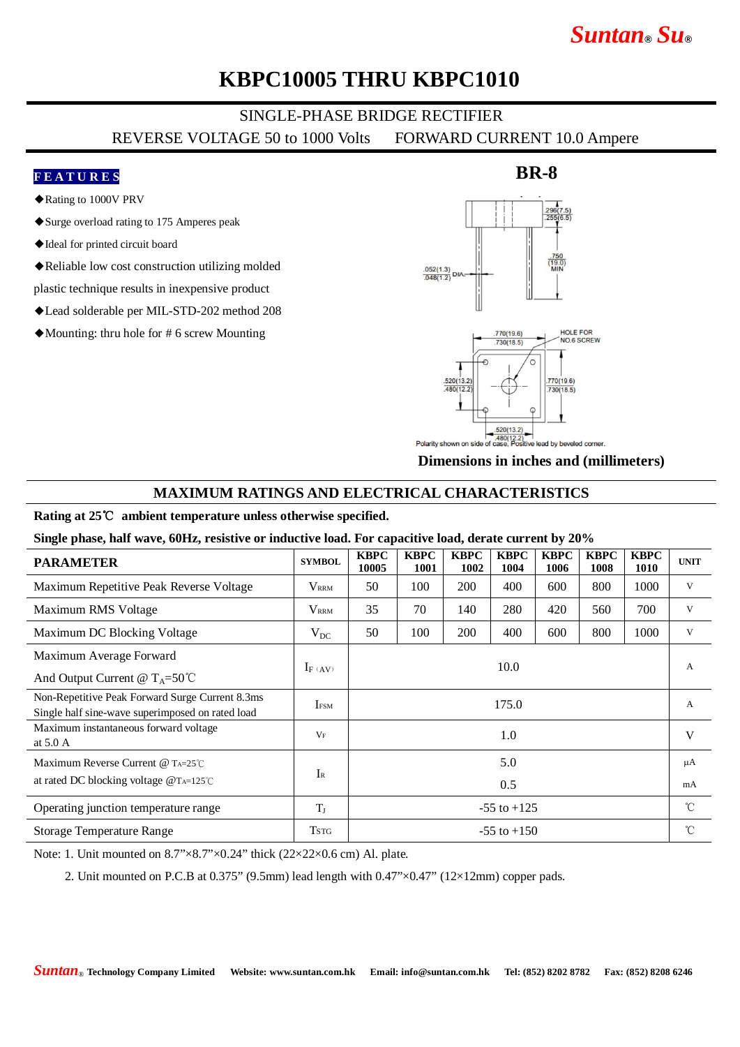# *Suntan***®** *Su***®**

## **KBPC10005 THRU KBPC1010**

## SINGLE-PHASE BRIDGE RECTIFIER

REVERSE VOLTAGE 50 to 1000 Volts FORWARD CURRENT 10.0 Ampere

### **F E A T U R E S**

- ◆Rating to 1000V PRV
- ◆Surge overload rating to 175 Amperes peak
- ◆Ideal for printed circuit board
- ◆Reliable low cost construction utilizing molded

plastic technique results in inexpensive product

- ◆Lead solderable per MIL-STD-202 method 208
- ◆Mounting: thru hole for # 6 screw Mounting

## **BR-8**



**Dimensions in inches and (millimeters)**

### **MAXIMUM RATINGS AND ELECTRICAL CHARACTERISTICS**

### **Rating at 25**℃ **ambient temperature unless otherwise specified.**

**Single phase, half wave, 60Hz, resistive or inductive load. For capacitive load, derate current by 20%**

| <b>PARAMETER</b>                                                                                    | <b>SYMBOL</b>     | <b>KBPC</b><br>10005 | <b>KBPC</b><br>1001 | <b>KBPC</b><br>1002 | <b>KBPC</b><br>1004 | <b>KBPC</b><br>1006 | <b>KBPC</b><br>1008 | <b>KBPC</b><br>1010 | <b>UNIT</b> |
|-----------------------------------------------------------------------------------------------------|-------------------|----------------------|---------------------|---------------------|---------------------|---------------------|---------------------|---------------------|-------------|
| Maximum Repetitive Peak Reverse Voltage                                                             | $\rm V_{\rm RRM}$ | 50                   | 100                 | <b>200</b>          | 400                 | 600                 | 800                 | 1000                | V           |
| Maximum RMS Voltage                                                                                 | $\rm V_{\rm RRM}$ | 35                   | 70                  | 140                 | 280                 | 420                 | 560                 | 700                 | V           |
| Maximum DC Blocking Voltage                                                                         | $V_{DC}$          | 50                   | 100                 | 200                 | 400                 | 600                 | 800                 | 1000                | V           |
| Maximum Average Forward                                                                             |                   | 10.0                 |                     |                     |                     |                     |                     |                     | А           |
| And Output Current @ $T_A = 50^{\circ}$ C                                                           | $I_F (AV)$        |                      |                     |                     |                     |                     |                     |                     |             |
| Non-Repetitive Peak Forward Surge Current 8.3ms<br>Single half sine-wave superimposed on rated load | <b>IFSM</b>       | 175.0                |                     |                     |                     |                     |                     |                     | A           |
| Maximum instantaneous forward voltage<br>at $5.0\text{ A}$                                          | $V_F$             | 1.0                  |                     |                     |                     |                     |                     |                     | V           |
| Maximum Reverse Current @ $Ta=25^\circ C$                                                           |                   | 5.0                  |                     |                     |                     |                     |                     |                     | μA          |
| at rated DC blocking voltage $@$ T <sub>A=125</sub> °C                                              | $\rm I_R$         | 0.5                  |                     |                     |                     |                     |                     |                     | mA          |
| Operating junction temperature range                                                                | $T_{J}$           | $-55$ to $+125$      |                     |                     |                     |                     |                     |                     | °C          |
| <b>Storage Temperature Range</b>                                                                    | Tstg              | $-55$ to $+150$      |                     |                     |                     |                     |                     |                     | °C          |

Note: 1. Unit mounted on 8.7"×8.7"×0.24" thick (22×22×0.6 cm) Al. plate.

2. Unit mounted on P.C.B at  $0.375$ " (9.5mm) lead length with  $0.47$ " $\times$ 0.47" ( $12\times12$ mm) copper pads.